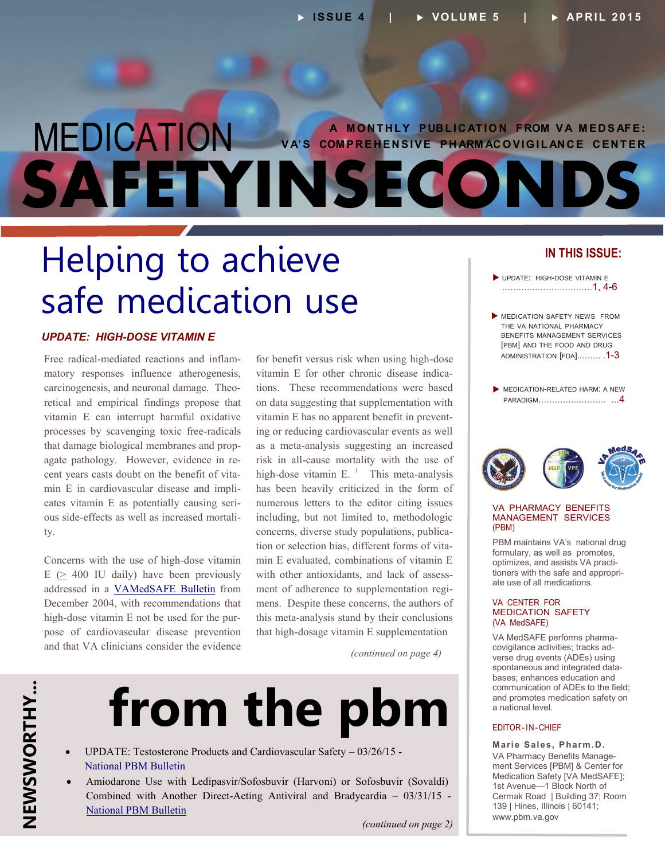# MEDICATION VA'S COMPREHENSIVE PHARMACOVIGILANCE CENTER **SAFETYINSECONDS**

# Helping to achieve safe medication use

#### *UPDATE: HIGH-DOSE VITAMIN E*

Free radical-mediated reactions and inflam matory responses influence atherogenesis, carcinogenesis, and neuronal damage. Theo retical and empirical findings propose that vitamin E can interrupt harmful oxidative processes by scavenging toxic free-radicals that damage biological membranes and prop agate pathology. However, evidence in re cent years casts doubt on the benefit of vita min E in cardiovascular disease and impli cates vitamin E as potentially causing seri ous side-effects as well as increased mortali ty.

high-dose vitamin E not be used for the pur-Concerns with the use of high-dose vitamin  $E$  ( $>$  400 IU daily) have been previously addressed in a [VAMedSAFE Bulletin](http://www.pbm.va.gov/PBM/vacenterformedicationsafety/nationalpbmbulletin/VAMedSafeBulletinVitaminE.pdf) from December 2004, with recommendations that pose of cardiovascular disease prevention and that VA clinicians consider the evidence

vitamin E for other chronic disease indicavitamin E has no apparent benefit in prevent-- concerns, diverse study populations, publica tion or selection bias, different forms of vitawith other antioxidants, and lack of assessment of adherence to supplementation regifor benefit versus risk when using high-dose tions. These recommendations were based on data suggesting that supplementation with ing or reducing cardiovascular events as well as a meta-analysis suggesting an increased risk in all-cause mortality with the use of high-dose vitamin E.  $<sup>1</sup>$  This meta-analysis</sup> has been heavily criticized in the form of numerous letters to the editor citing issues including, but not limited to, methodologic min E evaluated, combinations of vitamin E mens. Despite these concerns, the authors of this meta-analysis stand by their conclusions that high-dosage vitamin E supplementation

*(continued on page 4)*

# **from the pbm**

- UPDATE: Testosterone Products and Cardiovascular Safety 03/26/15 [National PBM Bulletin](http://www.pbm.va.gov/PBM/vacenterformedicationsafety/nationalpbmbulletin/UPDATE_Testosterone_Products_and_CV_Safety_NATIONAL_PBM_BULLETIN_032615.pdf)
- Amiodarone Use with Ledipasvir/Sofosbuvir (Harvoni) or Sofosbuvir (Sovaldi) Combined with Another Direct-Acting Antiviral and Bradycardia – 03/31/15 - [National PBM Bulletin](http://www.pbm.va.gov/PBM/vacenterformedicationsafety/nationalpbmbulletin/Amiodarone_with_Hep_C_Antiviral_drugs_and_Bradycardia_Bulletin.pdf)

#### **IN THIS ISSUE:**

- UPDATE: HIGH-DOSE VITAMIN E ……………………………1, 4-6
- **MEDICATION SAFETY NEWS FROM** THE VA NATIONAL PHARMACY BENEFITS MANAGEMENT SERVICES [PBM] AND THE FOOD AND DRUG [ADMINISTRATION](#page-2-0) [FDA]..……. .1-3
- **MEDICATION-RELATED HARM: A NEW** PARADIGM[…………….……… …](#page-3-0)4



#### VA PHARMACY BENEFITS MANAGEMENT SERVICES (PBM)

PBM maintains VA's national drug formulary, as well as promotes, optimizes, and assists VA practi tioners with the safe and appropri ate use of all medications.

#### VA CENTER FOR MEDICATION SAFETY (VA MedSAFE)

VA MedSAFE performs pharma covigilance activities; tracks ad verse drug events (ADEs) using spontaneous and integrated data bases; enhances education and communication of ADEs to the field; and promotes medication safety on a national level.

#### EDITOR-IN-CHIEF

**Marie Sales, Pharm.D.** VA Pharmacy Benefits Manage ment Services [PBM] & Center for Medication Safety [VA MedSAFE]; 1st Avenue—1 Block North of Cermak Road | Building 37; Room 139 | Hines, Illinois | 60141; [www.pbm.va.gov](http://www.pbm.va.gov)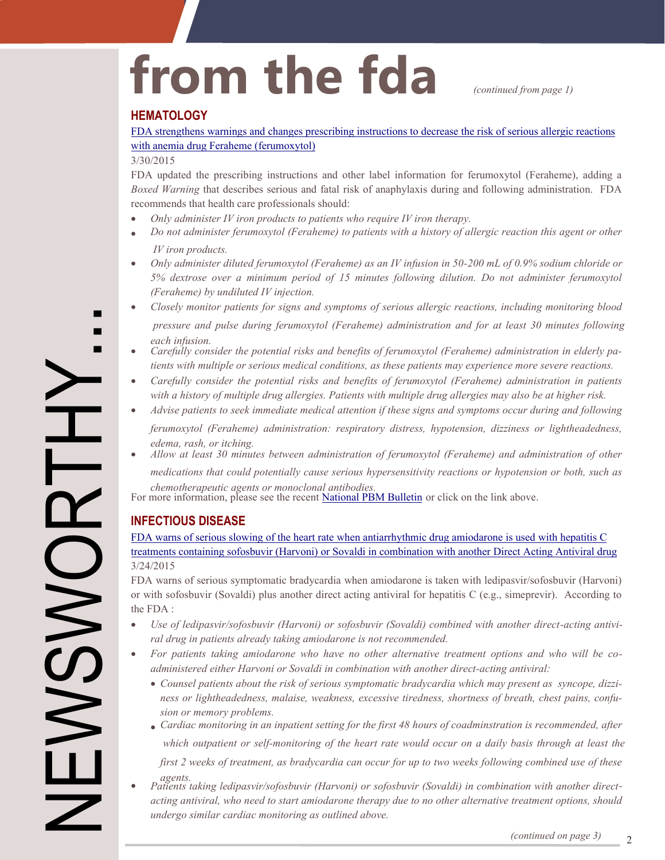# from the fda *(continued from page 1)*

#### **HEMATOLOGY**

[FDA strengthens warnings and changes prescribing instructions to decrease the risk of serious allergic reactions](http://www.fda.gov/Drugs/DrugSafety/ucm440138.htm) with anemia drug Feraheme (ferumoxytol)

#### 3/30/2015

FDA updated the prescribing instructions and other label information for ferumoxytol (Feraheme), adding a *Boxed Warning* that describes serious and fatal risk of anaphylaxis during and following administration. FDA recommends that health care professionals should:

- *Only administer IV iron products to patients who require IV iron therapy.*
- *Do not administer ferumoxytol (Feraheme) to patients with a history of allergic reaction this agent or other IV iron products.*
- *Only administer diluted ferumoxytol (Feraheme) as an IV infusion in 50-200 mL of 0.9% sodium chloride or 5% dextrose over a minimum period of 15 minutes following dilution. Do not administer ferumoxytol (Feraheme) by undiluted IV injection.*
- *Closely monitor patients for signs and symptoms of serious allergic reactions, including monitoring blood pressure and pulse during ferumoxytol (Feraheme) administration and for at least 30 minutes following each infusion.*
- *Carefully consider the potential risks and benefits of ferumoxytol (Feraheme) administration in elderly pa tients with multiple or serious medical conditions, as these patients may experience more severe reactions.*
- *Carefully consider the potential risks and benefits of ferumoxytol (Feraheme) administration in patients with a history of multiple drug allergies. Patients with multiple drug allergies may also be at higher risk.*
- *Advise patients to seek immediate medical attention if these signs and symptoms occur during and following ferumoxytol (Feraheme) administration: respiratory distress, hypotension, dizziness or lightheadedness, edema, rash, or itching.*
- *Allow at least 30 minutes between administration of ferumoxytol (Feraheme) and administration of other medications that could potentially cause serious hypersensitivity reactions or hypotension or both, such as chemotherapeutic agents or monoclonal antibodies.*

For more information, please see the recent [National PBM Bulletin](http://www.pbm.va.gov/PBM/vacenterformedicationsafety/nationalpbmbulletin/Ferumoxytol_and_Risk_for_Serious_Allergic_Reactions.pdf) or click on the link above.

### **INFECTIOUS DISEASE**

FDA warns of serious slowing of the heart rate when antiarrhythmic drug amiodarone is used with hepatitis C [treatments containing sofosbuvir \(Harvoni\) or Sovaldi in combination with another Direct Acting Antiviral drug](http://www.fda.gov/Drugs/DrugSafety/ucm439484.htm) 3/24/2015

FDA warns of serious symptomatic bradycardia when amiodarone is taken with ledipasvir/sofosbuvir (Harvoni) or with sofosbuvir (Sovaldi) plus another direct acting antiviral for hepatitis C (e.g., simeprevir). According to the FDA :

- *- Use of ledipasvir/sofosbuvir (Harvoni) or sofosbuvir (Sovaldi) combined with another direct-acting antivi ral drug in patients already taking amiodarone is not recommended.*
- *For patients taking amiodarone who have no other alternative treatment options and who will be coadministered either Harvoni or Sovaldi in combination with another direct-acting antiviral:*
	- *- Counsel patients about the risk of serious symptomatic bradycardia which may present as syncope, dizzi - ness or lightheadedness, malaise, weakness, excessive tiredness, shortness of breath, chest pains, confu sion or memory problems.*
	- *Cardiac monitoring in an inpatient setting for the first 48 hours of coadminstration is recommended, after which outpatient or self-monitoring of the heart rate would occur on a daily basis through at least the first 2 weeks of treatment, as bradycardia can occur for up to two weeks following combined use of these*
- *agents. Patients taking ledipasvir/sofosbuvir (Harvoni) or sofosbuvir (Sovaldi) in combination with another directacting antiviral, who need to start amiodarone therapy due to no other alternative treatment options, should undergo similar cardiac monitoring as outlined above.*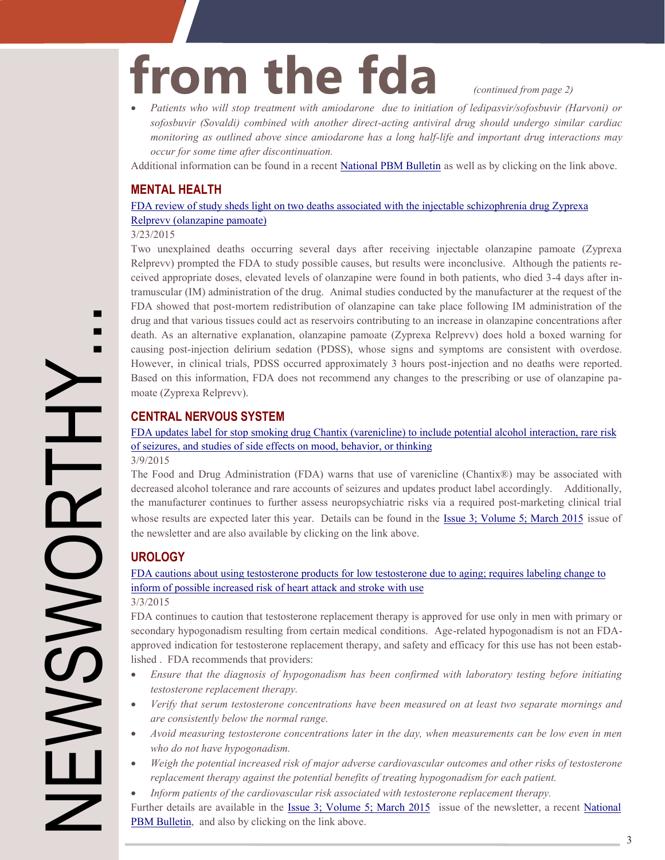# <span id="page-2-0"></span>from the fda *(continued from page 2)*

 *Patients who will stop treatment with amiodarone due to initiation of ledipasvir/sofosbuvir (Harvoni) or sofosbuvir (Sovaldi) combined with another direct-acting antiviral drug should undergo similar cardiac monitoring as outlined above since amiodarone has a long half-life and important drug interactions may occur for some time after discontinuation.*

Additional information can be found in a recent [National PBM Bulletin](http://www.pbm.va.gov/PBM/vacenterformedicationsafety/nationalpbmbulletin/Amiodarone_with_Hep_C_Antiviral_drugs_and_Bradycardia_Bulletin.pdf) as well as by clicking on the link above.

### **MENTAL HEALTH**

[FDA review of study sheds light on two deaths associated with the injectable schizophrenia drug Zyprexa](http://www.fda.gov/Drugs/DrugSafety/ucm439147.htm)  Relprevv (olanzapine pamoate)

#### 3/23/2015

 $\blacksquare$ П Two unexplained deaths occurring several days after receiving injectable olanzapine pamoate (Zyprexa Relprevv) prompted the FDA to study possible causes, but results were inconclusive. Although the patients re ceived appropriate doses, elevated levels of olanzapine were found in both patients, who died 3-4 days after in tramuscular (IM) administration of the drug. Animal studies conducted by the manufacturer at the request of the FDA showed that post-mortem redistribution of olanzapine can take place following IM administration of the drug and that various tissues could act as reservoirs contributing to an increase in olanzapine concentrations after death. As an alternative explanation, olanzapine pamoate (Zyprexa Relprevv) does hold a boxed warning for causing post-injection delirium sedation (PDSS), whose signs and symptoms are consistent with overdose. However, in clinical trials, PDSS occurred approximately 3 hours post-injection and no deaths were reported. Based on this information, FDA does not recommend any changes to the prescribing or use of olanzapine pa moate (Zyprexa Relprevv).

## **CENTRAL NERVOUS SYSTEM**

[FDA updates label for stop smoking drug Chantix \(varenicline\) to include potential alcohol interaction, rare risk](http://www.fda.gov/Drugs/DrugSafety/ucm436494.htm) of seizures, and studies of side effects on mood, behavior, or thinking

3/9/2015

The Food and Drug Administration (FDA) warns that use of varenicline (Chantix®) may be associated with decreased alcohol tolerance and rare accounts of seizures and updates product label accordingly. Additionally, the manufacturer continues to further assess neuropsychiatric risks via a required post-marketing clinical trial whose results are expected later this year. Details can be found in the [Issue 3; Volume 5; March 2015](http://www.pbm.va.gov/PBM/vacenterformedicationsafety/newsletter/Medication_Safety_in_Seconds_March_2015_FINAL.pdf) issue of the newsletter and are also available by clicking on the link above.

## **UROLOGY**

[FDA cautions about using testosterone products for low testosterone due to aging; requires labeling change to](http://www.fda.gov/Drugs/DrugSafety/ucm436259.htm) inform of possible increased risk of heart attack and stroke with use

3/3/2015

approved indication for testosterone replacement therapy, and safety and efficacy for this use has not been estab-FDA continues to caution that testosterone replacement therapy is approved for use only in men with primary or secondary hypogonadism resulting from certain medical conditions. Age-related hypogonadism is not an FDAlished . FDA recommends that providers:

- *Ensure that the diagnosis of hypogonadism has been confirmed with laboratory testing before initiating testosterone replacement therapy.*
- *Verify that serum testosterone concentrations have been measured on at least two separate mornings and are consistently below the normal range.*
- *Avoid measuring testosterone concentrations later in the day, when measurements can be low even in men who do not have hypogonadism.*
- *Weigh the potential increased risk of major adverse cardiovascular outcomes and other risks of testosterone replacement therapy against the potential benefits of treating hypogonadism for each patient.*
- *Inform patients of the cardiovascular risk associated with testosterone replacement therapy.*

Further details are available in the [Issue 3; Volume 5; March 2015](http://www.pbm.va.gov/PBM/vacenterformedicationsafety/newsletter/Medication_Safety_in_Seconds_March_2015_FINAL.pdf) issue of the newsletter, a recent [National](http://www.pbm.va.gov/PBM/vacenterformedicationsafety/nationalpbmbulletin/UPDATE_Testosterone_Products_and_CV_Safety_NATIONAL_PBM_BULLETIN_032615.pdf) PBM Bulletin, and also by clicking on the link above.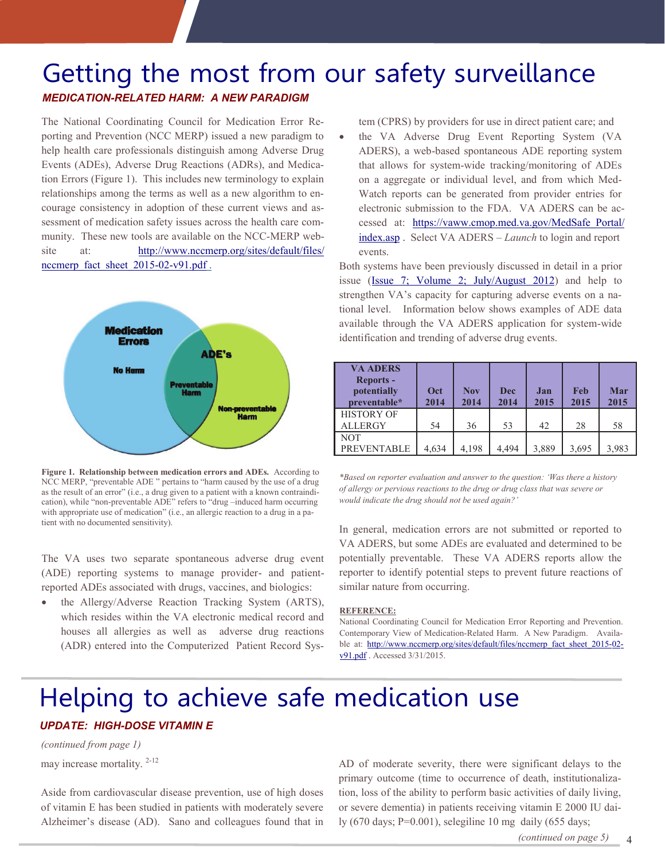# <span id="page-3-0"></span>Getting the most from our safety surveillance

*MEDICATION-RELATED HARM: A NEW PARADIGM*

The National Coordinating Council for Medication Error Reporting and Prevention (NCC MERP) issued a new paradigm to help health care professionals distinguish among Adverse Drug Events (ADEs), Adverse Drug Reactions (ADRs), and Medica tion Errors (Figure 1). This includes new terminology to explain relationships among the terms as well as a new algorithm to encourage consistency in adoption of these current views and as sessment of medication safety issues across the health care community. These new tools are available on the NCC-MERP website at: [http://www.nccmerp.org/sites/default/files/](http://www.nccmerp.org/sites/default/files/nccmerp_fact_sheet_2015-02-v91.pdf) nccmerp\_fact\_sheet\_2015-02-v91.pdf.



as the result of an error" (i.e., a drug given to a patient with a known contraindiwith appropriate use of medication" (i.e., an allergic reaction to a drug in a pa-**Figure 1. Relationship between medication errors and ADEs.** According to NCC MERP, "preventable ADE " pertains to "harm caused by the use of a drug cation), while "non-preventable ADE" refers to "drug –induced harm occurring tient with no documented sensitivity).

The VA uses two separate spontaneous adverse drug event (ADE) reporting systems to manage provider- and patientreported ADEs associated with drugs, vaccines, and biologics:

(ADR) entered into the Computerized Patient Record Sys-• the Allergy/Adverse Reaction Tracking System (ARTS), which resides within the VA electronic medical record and houses all allergies as well as adverse drug reactions tem (CPRS) by providers for use in direct patient care; and

- electronic submission to the FDA. VA ADERS can be ac the VA Adverse Drug Event Reporting System (VA ADERS), a web-based spontaneous ADE reporting system that allows for system-wide tracking/monitoring of ADEs on a aggregate or individual level, and from which Med-Watch reports can be generated from provider entries for [cessed at: https://vaww.cmop.med.va.gov/MedSafe\\_Portal/](https://vaww.cmop.med.va.gov/MedSafe_Portal/index.asp) index.asp . Select VA ADERS – *Launch* to login and report events.

strengthen VA's capacity for capturing adverse events on a na-Both systems have been previously discussed in detail in a prior issue [\(Issue 7; Volume 2; July/August 2012\)](http://www.pbm.va.gov/PBM/vacenterformedicationsafety/newsletter/MedicationSafetyinSecondsJulAug2012FINAL.pdf) and help to tional level. Information below shows examples of ADE data available through the VA ADERS application for system-wide identification and trending of adverse drug events.

| <b>VA ADERS</b><br><b>Reports -</b><br>potentially<br>preventable* | Oct<br>2014 | <b>Nov</b><br>2014 | Dec<br>2014 | Jan<br>2015 | Feb<br>2015 | Mar<br>2015 |
|--------------------------------------------------------------------|-------------|--------------------|-------------|-------------|-------------|-------------|
| <b>HISTORY OF</b><br><b>ALLERGY</b>                                | 54          | 36                 | 53          | 42          | 28          | 58          |
| <b>NOT</b><br><b>PREVENTABLE</b>                                   | 4,634       | 4,198              | 4.494       | 3,889       | 3,695       | 3,983       |

*\*Based on reporter evaluation and answer to the question: 'Was there a history of allergy or pervious reactions to the drug or drug class that was severe or would indicate the drug should not be used again?'*

In general, medication errors are not submitted or reported to VA ADERS, but some ADEs are evaluated and determined to be potentially preventable. These VA ADERS reports allow the reporter to identify potential steps to prevent future reactions of similar nature from occurring.

#### **REFERENCE:**

- Contemporary View of Medication-Related Harm. A New Paradigm. Availa National Coordinating Council for Medication Error Reporting and Prevention. ble at: [http://www.nccmerp.org/sites/default/files/nccmerp\\_fact\\_sheet\\_2015](http://www.nccmerp.org/sites/default/files/nccmerp_fact_sheet_2015-02-v91)-02v91.pdf . Accessed 3/31/2015.

## Helping to achieve safe medication use *UPDATE: HIGH-DOSE VITAMIN E*

## *(continued from page 1)*

may increase mortality.<sup>[2](#page-5-0)-12</sup>

Aside from cardiovascular disease prevention, use of high doses of vitamin E has been studied in patients with moderately severe Alzheimer's disease (AD). Sano and colleagues found that in

AD of moderate severity, there were significant delays to the primary outcome (time to occurrence of death, institutionaliza tion, loss of the ability to perform basic activities of daily living, or severe dementia) in patients receiving vitamin E 2000 IU dai ly (670 days; P=0.001), selegiline 10 mg daily (655 days;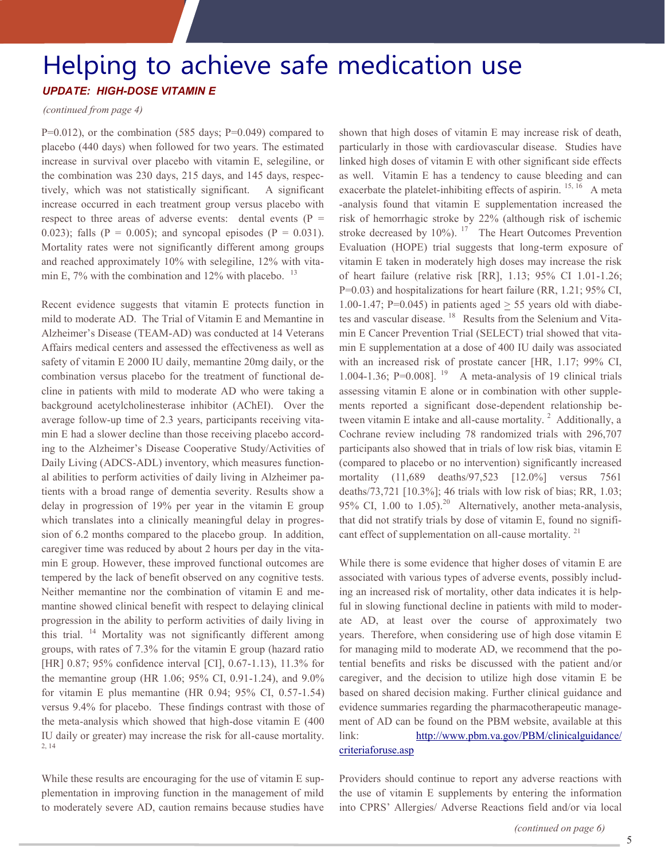# Helping to achieve safe medication use

### *UPDATE: HIGH-DOSE VITAMIN E*

#### *(continued from page 4)*

 $P=0.012$ ), or the combination (585 days;  $P=0.049$ ) compared to placebo (440 days) when followed for two years. The estimated increase in survival over placebo with vitamin E, selegiline, or the combination was 230 days, 215 days, and 145 days, respec tively, which was not statistically significant. A significant increase occurred in each treatment group versus placebo with respect to three areas of adverse events: dental events ( $P =$ 0.023); falls ( $P = 0.005$ ); and syncopal episodes ( $P = 0.031$ ). Mortality rates were not significantly different among groups and reached approximately 10% with selegiline, 12% with vita min E,  $7\%$  with the combination and 12% with placebo.  $13$ 

- combination versus placebo for the treatment of functional de - average follow-up time of 2.3 years, participants receiving vita min E had a slower decline than those receiving placebo accord-Daily Living (ADCS-ADL) inventory, which measures function-- al abilities to perform activities of daily living in Alzheimer pa - caregiver time was reduced by about 2 hours per day in the vita Recent evidence suggests that vitamin E protects function in mild to moderate AD. The Trial of Vitamin E and Memantine in Alzheimer's Disease (TEAM-AD) was conducted at 14 Veterans Affairs medical centers and assessed the effectiveness as well as safety of vitamin E 2000 IU daily, memantine 20mg daily, or the cline in patients with mild to moderate AD who were taking a background acetylcholinesterase inhibitor (AChEI). Over the ing to the Alzheimer's Disease Cooperative Study/Activities of tients with a broad range of dementia severity. Results show a delay in progression of 19% per year in the vitamin E group which translates into a clinically meaningful delay in progres sion of 6.2 months compared to the placebo group. In addition, min E group. However, these improved functional outcomes are tempered by the lack of benefit observed on any cognitive tests. Neither memantine nor the combination of vitamin E and me mantine showed clinical benefit with respect to delaying clinical progression in the ability to perform activities of daily living in this trial. <sup>14</sup> Mortality was not significantly different among groups, with rates of 7.3% for the vitamin E group (hazard ratio [HR] 0.87; 95% confidence interval [CI], 0.67-1.13), 11.3% for the memantine group (HR 1.06; 95% CI, 0.91-1.24), and 9.0% for vitamin E plus memantine (HR 0.94; 95% CI, 0.57-1.54) versus 9.4% for placebo. These findings contrast with those of the meta-analysis which showed that high-dose vitamin E (400 IU daily or greater) may increase the risk for all-cause mortality. 2, 14

While these results are encouraging for the use of vitamin E supplementation in improving function in the management of mild to moderately severe AD, caution remains because studies have

1.00-1.47; P=0.045) in patients aged  $\geq$  55 years old with diabetes and vascular disease. <sup>18</sup> Results from the Selenium and Vitamin E Cancer Prevention Trial (SELECT) trial showed that vita-- assessing vitamin E alone or in combination with other supple - ments reported a significant dose-dependent relationship be - that did not stratify trials by dose of vitamin E, found no signifishown that high doses of vitamin E may increase risk of death, particularly in those with cardiovascular disease. Studies have linked high doses of vitamin E with other significant side effects as well. Vitamin E has a tendency to cause bleeding and can exacerbate the platelet-inhibiting effects of aspirin.  $15, 16$  A meta -analysis found that vitamin E supplementation increased the risk of hemorrhagic stroke by 22% (although risk of ischemic stroke decreased by  $10\%$ ). <sup>17</sup> The Heart Outcomes Prevention Evaluation (HOPE) trial suggests that long-term exposure of vitamin E taken in moderately high doses may increase the risk of heart failure (relative risk [RR], 1.13; 95% CI 1.01-1.26; P=0.03) and hospitalizations for heart failure (RR, 1.21; 95% CI, min E supplementation at a dose of 400 IU daily was associated with an increased risk of prostate cancer [HR, 1.17; 99% CI, 1.004-1.36;  $P=0.008$ ]. <sup>19</sup> A meta-analysis of 19 clinical trials tween vitamin E intake and all-cause mortality.<sup>2</sup> Additionally, a Cochrane review including 78 randomized trials with 296,707 participants also showed that in trials of low risk bias, vitamin E (compared to placebo or no intervention) significantly increased mortality (11,689 deaths/97,523 [12.0%] versus 7561 deaths/73,721 [10.3%]; 46 trials with low risk of bias; RR, 1.03; 95% CI, 1.00 to 1.05).<sup>20</sup> Alternatively, another meta-analysis, cant effect of supplementation on all-cause mortality.<sup>21</sup>

- associated with various types of adverse events, possibly includ - ing an increased risk of mortality, other data indicates it is helpful in slowing functional decline in patients with mild to moderfor managing mild to moderate AD, we recommend that the po-- evidence summaries regarding the pharmacotherapeutic manage While there is some evidence that higher doses of vitamin E are ate AD, at least over the course of approximately two years. Therefore, when considering use of high dose vitamin E tential benefits and risks be discussed with the patient and/or caregiver, and the decision to utilize high dose vitamin E be based on shared decision making. Further clinical guidance and ment of AD can be found on the PBM website, available at this [link: http://www.pbm.va.gov/PBM/clinicalguidance/](http://www.pbm.va.gov/PBM/clinicalguidance/criteriaforuse.asp) criteriaforuse.asp

Providers should continue to report any adverse reactions with the use of vitamin E supplements by entering the information into CPRS' Allergies/ Adverse Reactions field and/or via local